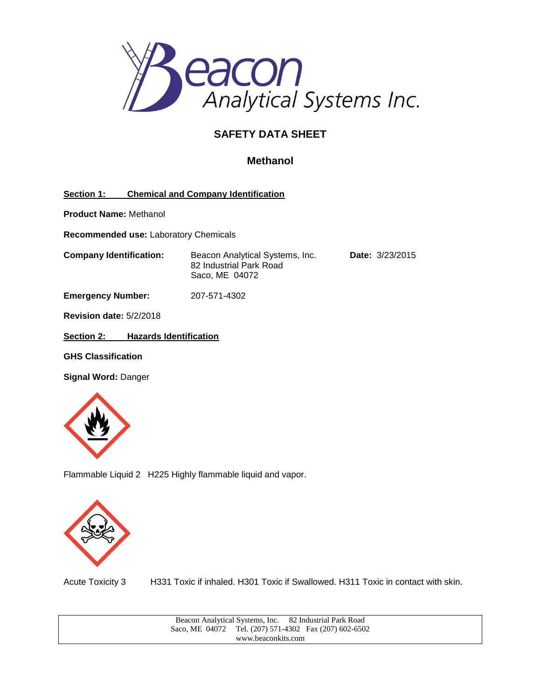

## **SAFETY DATA SHEET**

## **Methanol**

## **Section 1: Chemical and Company Identification**

**Product Name:** Methanol

**Recommended use:** Laboratory Chemicals

**Company Identification:** Beacon Analytical Systems, Inc. **Date:** 3/23/2015 82 Industrial Park Road Saco, ME 04072

**Emergency Number:** 207-571-4302

**Revision date:** 5/2/2018

**Section 2: Hazards Identification**

**GHS Classification**

**Signal Word:** Danger



Flammable Liquid 2 H225 Highly flammable liquid and vapor.



Acute Toxicity 3 H331 Toxic if inhaled. H301 Toxic if Swallowed. H311 Toxic in contact with skin.

| 82 Industrial Park Road<br>Beacon Analytical Systems, Inc. |  |  |                                        |
|------------------------------------------------------------|--|--|----------------------------------------|
| Saco, ME 04072                                             |  |  | Tel. (207) 571-4302 Fax (207) 602-6502 |
| www.beaconkits.com                                         |  |  |                                        |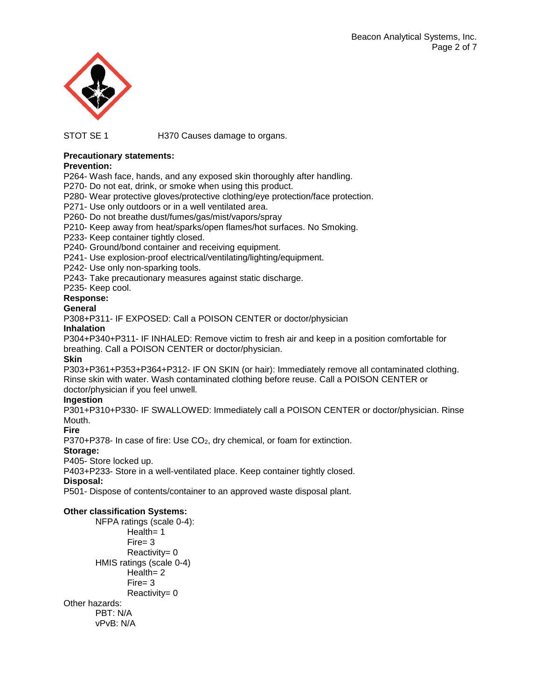

STOT SE 1 H370 Causes damage to organs.

## **Precautionary statements:**

## **Prevention:**

P264- Wash face, hands, and any exposed skin thoroughly after handling.

P270- Do not eat, drink, or smoke when using this product.

P280- Wear protective gloves/protective clothing/eye protection/face protection.

P271- Use only outdoors or in a well ventilated area.

P260- Do not breathe dust/fumes/gas/mist/vapors/spray

P210- Keep away from heat/sparks/open flames/hot surfaces. No Smoking.

P233- Keep container tightly closed.

P240- Ground/bond container and receiving equipment.

P241- Use explosion-proof electrical/ventilating/lighting/equipment.

P242- Use only non-sparking tools.

P243- Take precautionary measures against static discharge.

P235- Keep cool.

## **Response:**

#### **General**

P308+P311- IF EXPOSED: Call a POISON CENTER or doctor/physician

## **Inhalation**

P304+P340+P311- IF INHALED: Remove victim to fresh air and keep in a position comfortable for breathing. Call a POISON CENTER or doctor/physician.

## **Skin**

P303+P361+P353+P364+P312- IF ON SKIN (or hair): Immediately remove all contaminated clothing. Rinse skin with water. Wash contaminated clothing before reuse. Call a POISON CENTER or doctor/physician if you feel unwell.

## **Ingestion**

P301+P310+P330- IF SWALLOWED: Immediately call a POISON CENTER or doctor/physician. Rinse Mouth.

#### **Fire**

P370+P378- In case of fire: Use  $CO<sub>2</sub>$ , dry chemical, or foam for extinction.

## **Storage:**

P405- Store locked up.

P403+P233- Store in a well-ventilated place. Keep container tightly closed.

## **Disposal:**

P501- Dispose of contents/container to an approved waste disposal plant.

## **Other classification Systems:**

NFPA ratings (scale 0-4): Health= 1 Fire= 3 Reactivity= 0 HMIS ratings (scale 0-4) Health= 2 Fire= 3 Reactivity= 0 Other hazards: PBT: N/A vPvB: N/A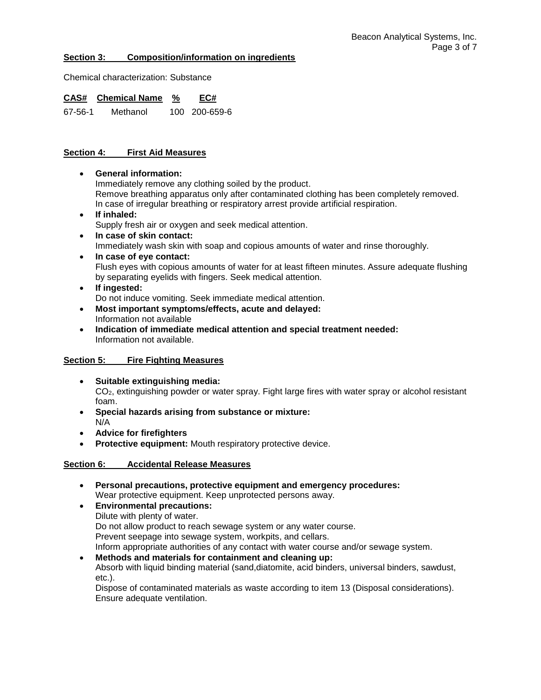### **Section 3: Composition/information on ingredients**

Chemical characterization: Substance

**CAS# Chemical Name % EC#** 67-56-1 Methanol 100 200-659-6

## **Section 4: First Aid Measures**

- **General information:** Immediately remove any clothing soiled by the product. Remove breathing apparatus only after contaminated clothing has been completely removed. In case of irregular breathing or respiratory arrest provide artificial respiration.
- **If inhaled:** Supply fresh air or oxygen and seek medical attention.
- **In case of skin contact:** Immediately wash skin with soap and copious amounts of water and rinse thoroughly.
- **In case of eye contact:** Flush eyes with copious amounts of water for at least fifteen minutes. Assure adequate flushing by separating eyelids with fingers. Seek medical attention.
- **If ingested:** Do not induce vomiting. Seek immediate medical attention.
- **Most important symptoms/effects, acute and delayed:** Information not available
- **Indication of immediate medical attention and special treatment needed:** Information not available.

## **Section 5: Fire Fighting Measures**

- **Suitable extinguishing media:** CO2, extinguishing powder or water spray. Fight large fires with water spray or alcohol resistant foam.
- **Special hazards arising from substance or mixture:** N/A
- **Advice for firefighters**
- **Protective equipment:** Mouth respiratory protective device.

## **Section 6: Accidental Release Measures**

- **Personal precautions, protective equipment and emergency procedures:** Wear protective equipment. Keep unprotected persons away.
- **Environmental precautions:** Dilute with plenty of water. Do not allow product to reach sewage system or any water course. Prevent seepage into sewage system, workpits, and cellars. Inform appropriate authorities of any contact with water course and/or sewage system.
- **Methods and materials for containment and cleaning up:** Absorb with liquid binding material (sand,diatomite, acid binders, universal binders, sawdust, etc.).

Dispose of contaminated materials as waste according to item 13 (Disposal considerations). Ensure adequate ventilation.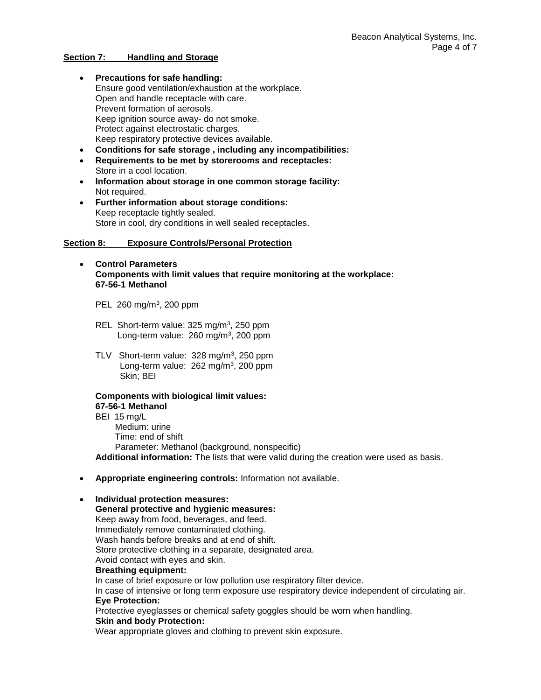#### **Section 7: Handling and Storage**

- **Precautions for safe handling:** Ensure good ventilation/exhaustion at the workplace. Open and handle receptacle with care. Prevent formation of aerosols. Keep ignition source away- do not smoke. Protect against electrostatic charges. Keep respiratory protective devices available.
- **Conditions for safe storage , including any incompatibilities:**
- **Requirements to be met by storerooms and receptacles:**  Store in a cool location.
- **Information about storage in one common storage facility:** Not required.
- **Further information about storage conditions:** Keep receptacle tightly sealed. Store in cool, dry conditions in well sealed receptacles.

#### **Section 8: Exposure Controls/Personal Protection**

- **Control Parameters Components with limit values that require monitoring at the workplace: 67-56-1 Methanol**
	- PEL 260 mg/m<sup>3</sup>, 200 ppm
	- REL Short-term value: 325 mg/m<sup>3</sup>, 250 ppm Long-term value: 260 mg/m<sup>3</sup>, 200 ppm
	- TLV Short-term value: 328 mg/m<sup>3</sup>, 250 ppm Long-term value: 262 mg/m<sup>3</sup>, 200 ppm Skin; BEI

# **Components with biological limit values:**

**67-56-1 Methanol** BEI 15 mg/L Medium: urine Time: end of shift Parameter: Methanol (background, nonspecific) **Additional information:** The lists that were valid during the creation were used as basis.

**Appropriate engineering controls:** Information not available.

## **Individual protection measures:**

**General protective and hygienic measures:** Keep away from food, beverages, and feed. Immediately remove contaminated clothing. Wash hands before breaks and at end of shift. Store protective clothing in a separate, designated area. Avoid contact with eyes and skin. **Breathing equipment:** In case of brief exposure or low pollution use respiratory filter device. In case of intensive or long term exposure use respiratory device independent of circulating air. **Eye Protection:** Protective eyeglasses or chemical safety goggles should be worn when handling. **Skin and body Protection:** Wear appropriate gloves and clothing to prevent skin exposure.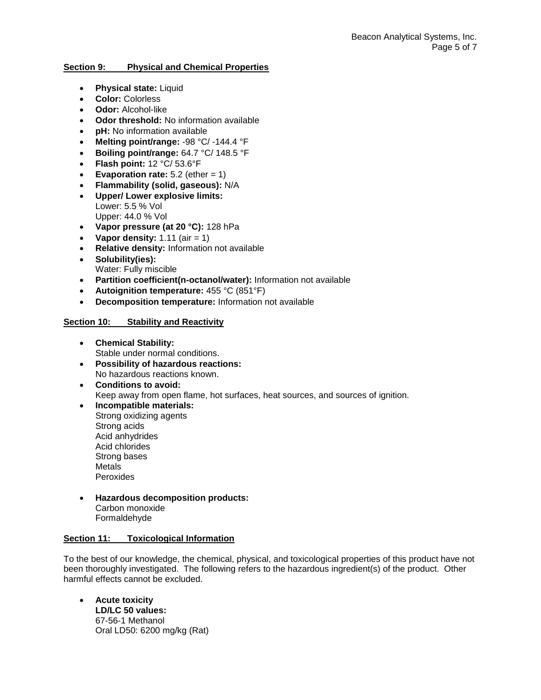## **Section 9: Physical and Chemical Properties**

- **Physical state:** Liquid
- **Color:** Colorless
- **Odor:** Alcohol-like
- **Odor threshold:** No information available
- **pH:** No information available
- **Melting point/range:** -98 °C/ -144.4 °F
- **Boiling point/range:** 64.7 °C/ 148.5 °F
- **Flash point:** 12 °C/ 53.6°F
- **Evaporation rate:**  $5.2$  (ether  $= 1$ )
- **Flammability (solid, gaseous):** N/A
- **Upper/ Lower explosive limits:** Lower: 5.5 % Vol Upper: 44.0 % Vol
- **Vapor pressure (at 20 °C):** 128 hPa
- **•** Vapor density:  $1.11$  (air  $= 1$ )
- **Relative density:** Information not available
- **Solubility(ies):** Water: Fully miscible
- **Partition coefficient(n-octanol/water):** Information not available
- **Autoignition temperature:** 455 °C (851°F)
- **Decomposition temperature:** Information not available

## **Section 10: Stability and Reactivity**

- **Chemical Stability:** Stable under normal conditions.
- **Possibility of hazardous reactions:** No hazardous reactions known.
- **Conditions to avoid:** Keep away from open flame, hot surfaces, heat sources, and sources of ignition.
- **Incompatible materials:** Strong oxidizing agents Strong acids Acid anhydrides Acid chlorides Strong bases Metals Peroxides
- **Hazardous decomposition products:** Carbon monoxide Formaldehyde

## **Section 11: Toxicological Information**

To the best of our knowledge, the chemical, physical, and toxicological properties of this product have not been thoroughly investigated. The following refers to the hazardous ingredient(s) of the product. Other harmful effects cannot be excluded.

 **Acute toxicity LD/LC 50 values:** 67-56-1 Methanol Oral LD50: 6200 mg/kg (Rat)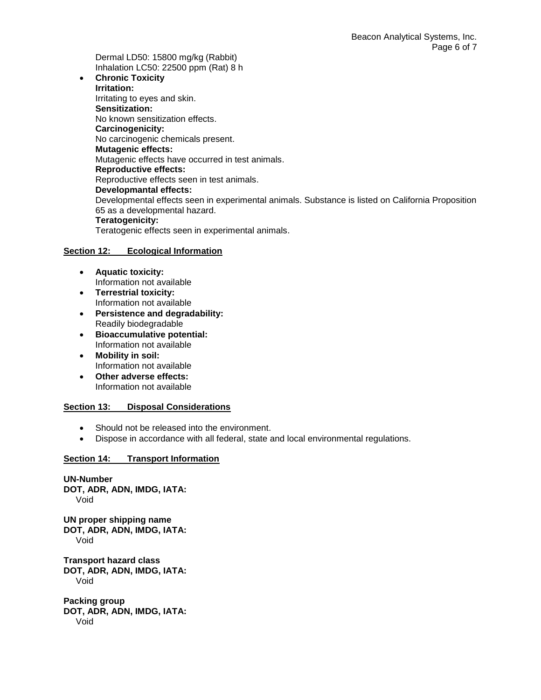Dermal LD50: 15800 mg/kg (Rabbit) Inhalation LC50: 22500 ppm (Rat) 8 h

 **Chronic Toxicity Irritation:** Irritating to eyes and skin. **Sensitization:** No known sensitization effects. **Carcinogenicity:** No carcinogenic chemicals present. **Mutagenic effects:** Mutagenic effects have occurred in test animals. **Reproductive effects:** Reproductive effects seen in test animals. **Developmantal effects:** Developmental effects seen in experimental animals. Substance is listed on California Proposition 65 as a developmental hazard. **Teratogenicity:**

Teratogenic effects seen in experimental animals.

## **Section 12: Ecological Information**

- **Aquatic toxicity:** Information not available
- **Terrestrial toxicity:** Information not available
- **Persistence and degradability:** Readily biodegradable
- **Bioaccumulative potential:** Information not available
- **Mobility in soil:** Information not available
- **Other adverse effects:** Information not available

## **Section 13: Disposal Considerations**

- Should not be released into the environment.
- Dispose in accordance with all federal, state and local environmental regulations.

## **Section 14: Transport Information**

**UN-Number DOT, ADR, ADN, IMDG, IATA:** Void

**UN proper shipping name DOT, ADR, ADN, IMDG, IATA:** Void

**Transport hazard class DOT, ADR, ADN, IMDG, IATA:** Void

**Packing group DOT, ADR, ADN, IMDG, IATA:** Void